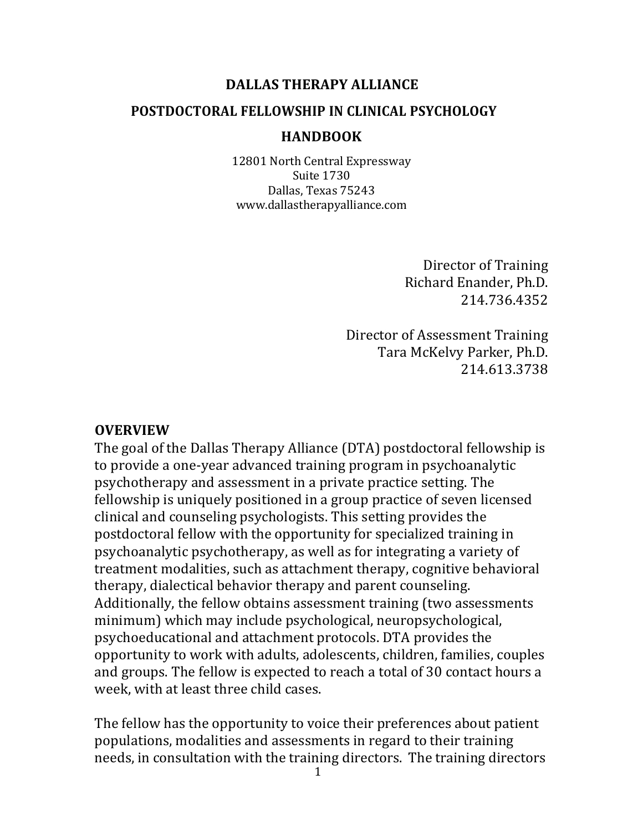### DALLAS THERAPY ALLIANCE

### **POSTDOCTORAL FELLOWSHIP IN CLINICAL PSYCHOLOGY**

#### **HANDBOOK**

12801 North Central Expressway Suite 1730 Dallas, Texas 75243 www.dallastherapyalliance.com

> Director of Training Richard Enander, Ph.D. 214.736.4352

Director of Assessment Training Tara McKelvy Parker, Ph.D. 214.613.3738

#### **OVERVIEW**

The goal of the Dallas Therapy Alliance (DTA) postdoctoral fellowship is to provide a one-year advanced training program in psychoanalytic psychotherapy and assessment in a private practice setting. The fellowship is uniquely positioned in a group practice of seven licensed clinical and counseling psychologists. This setting provides the postdoctoral fellow with the opportunity for specialized training in psychoanalytic psychotherapy, as well as for integrating a variety of treatment modalities, such as attachment therapy, cognitive behavioral therapy, dialectical behavior therapy and parent counseling. Additionally, the fellow obtains assessment training (two assessments minimum) which may include psychological, neuropsychological, psychoeducational and attachment protocols. DTA provides the opportunity to work with adults, adolescents, children, families, couples and groups. The fellow is expected to reach a total of 30 contact hours a week, with at least three child cases.

The fellow has the opportunity to voice their preferences about patient populations, modalities and assessments in regard to their training needs, in consultation with the training directors. The training directors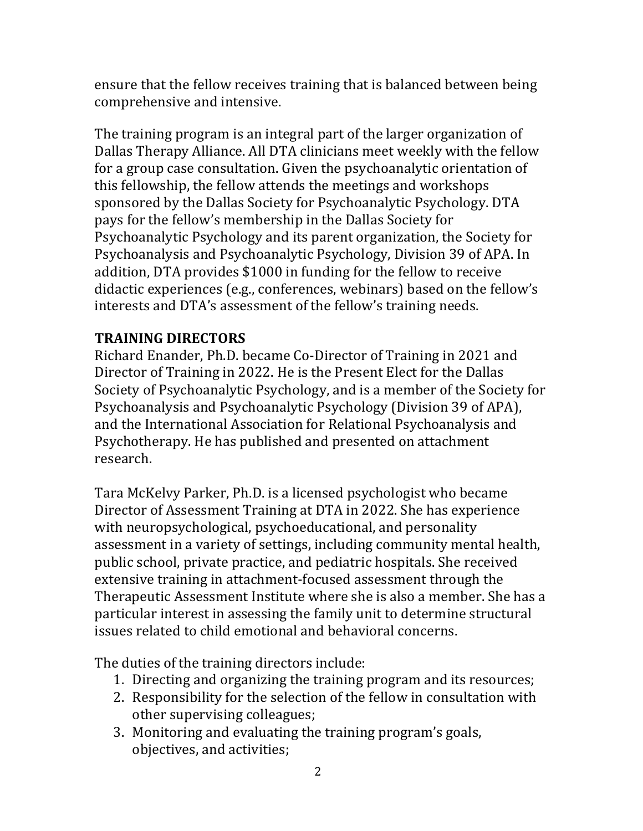ensure that the fellow receives training that is balanced between being comprehensive and intensive.

The training program is an integral part of the larger organization of Dallas Therapy Alliance. All DTA clinicians meet weekly with the fellow for a group case consultation. Given the psychoanalytic orientation of this fellowship, the fellow attends the meetings and workshops sponsored by the Dallas Society for Psychoanalytic Psychology. DTA pays for the fellow's membership in the Dallas Society for Psychoanalytic Psychology and its parent organization, the Society for Psychoanalysis and Psychoanalytic Psychology, Division 39 of APA. In addition, DTA provides \$1000 in funding for the fellow to receive didactic experiences (e.g., conferences, webinars) based on the fellow's interests and DTA's assessment of the fellow's training needs.

## **TRAINING DIRECTORS**

Richard Enander, Ph.D. became Co-Director of Training in 2021 and Director of Training in 2022. He is the Present Elect for the Dallas Society of Psychoanalytic Psychology, and is a member of the Society for Psychoanalysis and Psychoanalytic Psychology (Division 39 of APA), and the International Association for Relational Psychoanalysis and Psychotherapy. He has published and presented on attachment research.

Tara McKelvy Parker, Ph.D. is a licensed psychologist who became Director of Assessment Training at DTA in 2022. She has experience with neuropsychological, psychoeducational, and personality assessment in a variety of settings, including community mental health, public school, private practice, and pediatric hospitals. She received extensive training in attachment-focused assessment through the Therapeutic Assessment Institute where she is also a member. She has a particular interest in assessing the family unit to determine structural issues related to child emotional and behavioral concerns.

The duties of the training directors include:

- 1. Directing and organizing the training program and its resources;
- 2. Responsibility for the selection of the fellow in consultation with other supervising colleagues;
- 3. Monitoring and evaluating the training program's goals, objectives, and activities;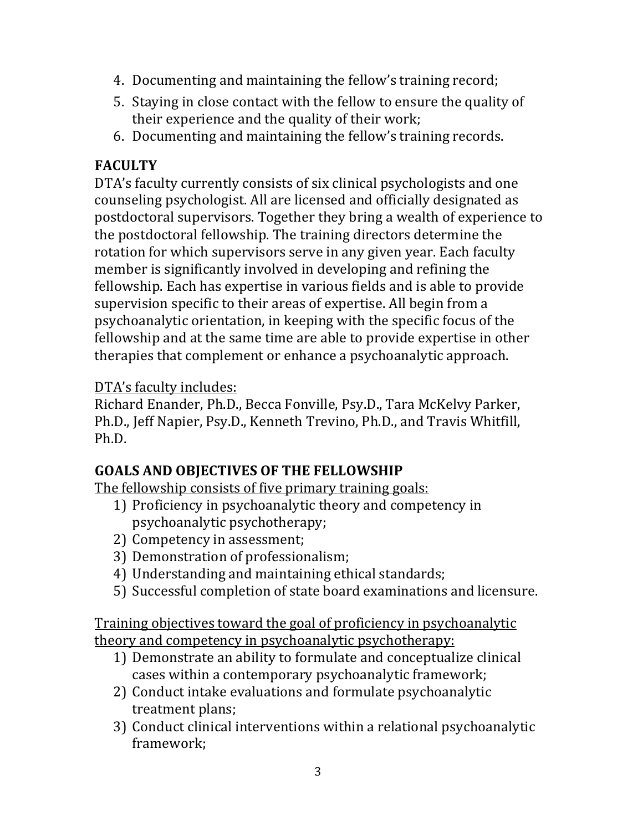- 4. Documenting and maintaining the fellow's training record;
- 5. Staying in close contact with the fellow to ensure the quality of their experience and the quality of their work;
- 6. Documenting and maintaining the fellow's training records.

# **FACULTY**

DTA's faculty currently consists of six clinical psychologists and one counseling psychologist. All are licensed and officially designated as postdoctoral supervisors. Together they bring a wealth of experience to the postdoctoral fellowship. The training directors determine the rotation for which supervisors serve in any given year. Each faculty member is significantly involved in developing and refining the fellowship. Each has expertise in various fields and is able to provide supervision specific to their areas of expertise. All begin from a psychoanalytic orientation, in keeping with the specific focus of the fellowship and at the same time are able to provide expertise in other therapies that complement or enhance a psychoanalytic approach.

# DTA's faculty includes:

Richard Enander, Ph.D., Becca Fonville, Psy.D., Tara McKelvy Parker, Ph.D., Jeff Napier, Psy.D., Kenneth Trevino, Ph.D., and Travis Whitfill, Ph.D.

# **GOALS AND OBJECTIVES OF THE FELLOWSHIP**

The fellowship consists of five primary training goals:

- 1) Proficiency in psychoanalytic theory and competency in psychoanalytic psychotherapy;
- 2) Competency in assessment;
- 3) Demonstration of professionalism;
- 4) Understanding and maintaining ethical standards;
- 5) Successful completion of state board examinations and licensure.

Training objectives toward the goal of proficiency in psychoanalytic theory and competency in psychoanalytic psychotherapy:

- 1) Demonstrate an ability to formulate and conceptualize clinical cases within a contemporary psychoanalytic framework;
- 2) Conduct intake evaluations and formulate psychoanalytic treatment plans;
- 3) Conduct clinical interventions within a relational psychoanalytic framework;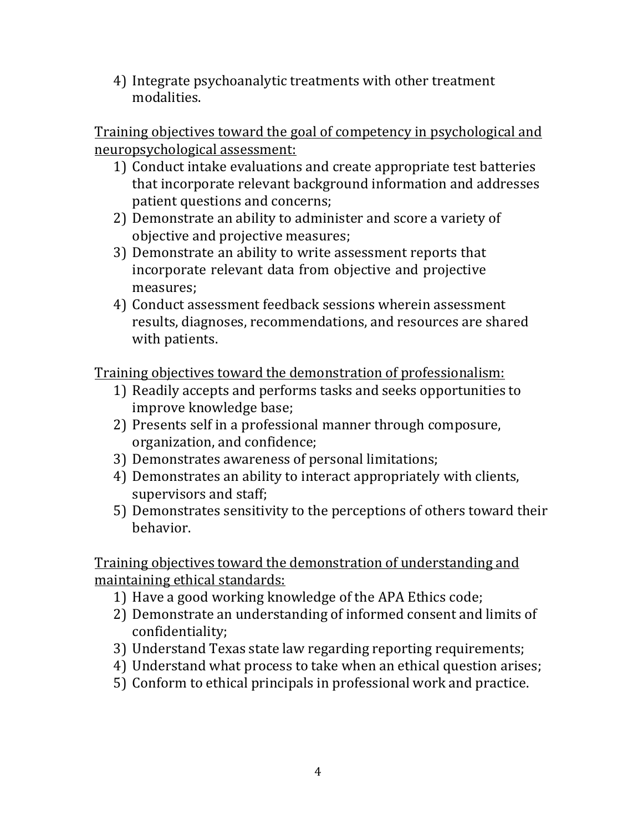4) Integrate psychoanalytic treatments with other treatment modalities.

Training objectives toward the goal of competency in psychological and neuropsychological assessment:

- 1) Conduct intake evaluations and create appropriate test batteries that incorporate relevant background information and addresses patient questions and concerns;
- 2) Demonstrate an ability to administer and score a variety of objective and projective measures;
- 3) Demonstrate an ability to write assessment reports that incorporate relevant data from objective and projective measures;
- 4) Conduct assessment feedback sessions wherein assessment results, diagnoses, recommendations, and resources are shared with patients.

Training objectives toward the demonstration of professionalism:

- 1) Readily accepts and performs tasks and seeks opportunities to improve knowledge base;
- 2) Presents self in a professional manner through composure, organization, and confidence;
- 3) Demonstrates awareness of personal limitations;
- 4) Demonstrates an ability to interact appropriately with clients, supervisors and staff;
- 5) Demonstrates sensitivity to the perceptions of others toward their behavior.

Training objectives toward the demonstration of understanding and maintaining ethical standards:

- 1) Have a good working knowledge of the APA Ethics code;
- 2) Demonstrate an understanding of informed consent and limits of confidentiality;
- 3) Understand Texas state law regarding reporting requirements;
- 4) Understand what process to take when an ethical question arises;
- 5) Conform to ethical principals in professional work and practice.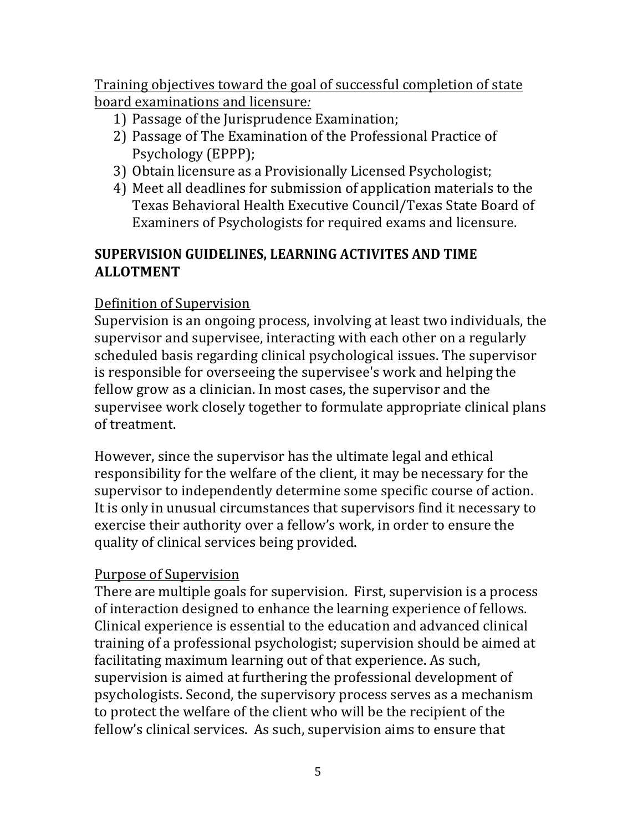Training objectives toward the goal of successful completion of state board examinations and licensure*:*

- 1) Passage of the Jurisprudence Examination;
- 2) Passage of The Examination of the Professional Practice of Psychology (EPPP);
- 3) Obtain licensure as a Provisionally Licensed Psychologist;
- 4) Meet all deadlines for submission of application materials to the Texas Behavioral Health Executive Council/Texas State Board of Examiners of Psychologists for required exams and licensure.

# **SUPERVISION GUIDELINES, LEARNING ACTIVITES AND TIME ALLOTMENT**

# Definition of Supervision

Supervision is an ongoing process, involving at least two individuals, the supervisor and supervisee, interacting with each other on a regularly scheduled basis regarding clinical psychological issues. The supervisor is responsible for overseeing the supervisee's work and helping the fellow grow as a clinician. In most cases, the supervisor and the supervisee work closely together to formulate appropriate clinical plans of treatment.

However, since the supervisor has the ultimate legal and ethical responsibility for the welfare of the client, it may be necessary for the supervisor to independently determine some specific course of action. It is only in unusual circumstances that supervisors find it necessary to exercise their authority over a fellow's work, in order to ensure the quality of clinical services being provided.

# Purpose of Supervision

There are multiple goals for supervision. First, supervision is a process of interaction designed to enhance the learning experience of fellows. Clinical experience is essential to the education and advanced clinical training of a professional psychologist; supervision should be aimed at facilitating maximum learning out of that experience. As such, supervision is aimed at furthering the professional development of psychologists. Second, the supervisory process serves as a mechanism to protect the welfare of the client who will be the recipient of the fellow's clinical services. As such, supervision aims to ensure that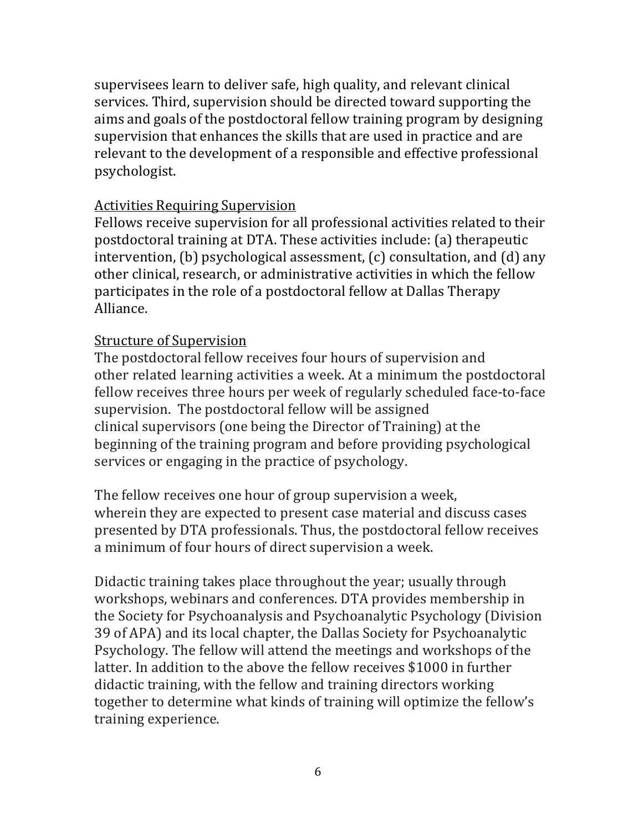supervisees learn to deliver safe, high quality, and relevant clinical services. Third, supervision should be directed toward supporting the aims and goals of the postdoctoral fellow training program by designing supervision that enhances the skills that are used in practice and are relevant to the development of a responsible and effective professional psychologist.

### Activities Requiring Supervision

Fellows receive supervision for all professional activities related to their postdoctoral training at DTA. These activities include: (a) therapeutic intervention,  $(b)$  psychological assessment,  $(c)$  consultation, and  $(d)$  any other clinical, research, or administrative activities in which the fellow participates in the role of a postdoctoral fellow at Dallas Therapy Alliance.

## Structure of Supervision

The postdoctoral fellow receives four hours of supervision and other related learning activities a week. At a minimum the postdoctoral fellow receives three hours per week of regularly scheduled face-to-face supervision. The postdoctoral fellow will be assigned clinical supervisors (one being the Director of Training) at the beginning of the training program and before providing psychological services or engaging in the practice of psychology.

The fellow receives one hour of group supervision a week, wherein they are expected to present case material and discuss cases presented by DTA professionals. Thus, the postdoctoral fellow receives a minimum of four hours of direct supervision a week.

Didactic training takes place throughout the year; usually through workshops, webinars and conferences. DTA provides membership in the Society for Psychoanalysis and Psychoanalytic Psychology (Division 39 of APA) and its local chapter, the Dallas Society for Psychoanalytic Psychology. The fellow will attend the meetings and workshops of the latter. In addition to the above the fellow receives \$1000 in further didactic training, with the fellow and training directors working together to determine what kinds of training will optimize the fellow's training experience.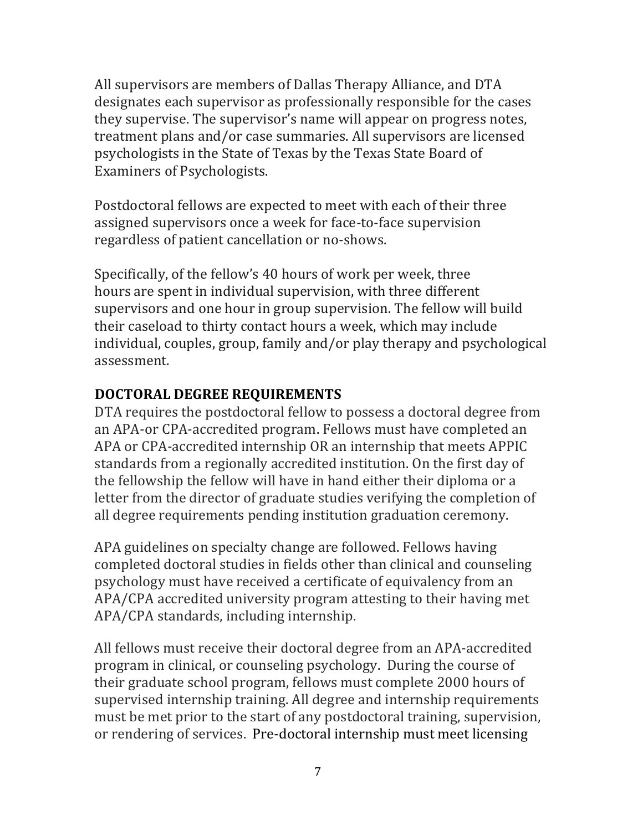All supervisors are members of Dallas Therapy Alliance, and DTA designates each supervisor as professionally responsible for the cases they supervise. The supervisor's name will appear on progress notes, treatment plans and/or case summaries. All supervisors are licensed psychologists in the State of Texas by the Texas State Board of Examiners of Psychologists.

Postdoctoral fellows are expected to meet with each of their three assigned supervisors once a week for face-to-face supervision regardless of patient cancellation or no-shows.

Specifically, of the fellow's 40 hours of work per week, three hours are spent in individual supervision, with three different supervisors and one hour in group supervision. The fellow will build their caseload to thirty contact hours a week, which may include individual, couples, group, family and/or play therapy and psychological assessment.

## **DOCTORAL DEGREE REQUIREMENTS**

DTA requires the postdoctoral fellow to possess a doctoral degree from an APA-or CPA-accredited program. Fellows must have completed an APA or CPA-accredited internship OR an internship that meets APPIC standards from a regionally accredited institution. On the first day of the fellowship the fellow will have in hand either their diploma or a letter from the director of graduate studies verifying the completion of all degree requirements pending institution graduation ceremony.

APA guidelines on specialty change are followed. Fellows having completed doctoral studies in fields other than clinical and counseling psychology must have received a certificate of equivalency from an APA/CPA accredited university program attesting to their having met APA/CPA standards, including internship.

All fellows must receive their doctoral degree from an APA-accredited program in clinical, or counseling psychology. During the course of their graduate school program, fellows must complete 2000 hours of supervised internship training. All degree and internship requirements must be met prior to the start of any postdoctoral training, supervision, or rendering of services. Pre-doctoral internship must meet licensing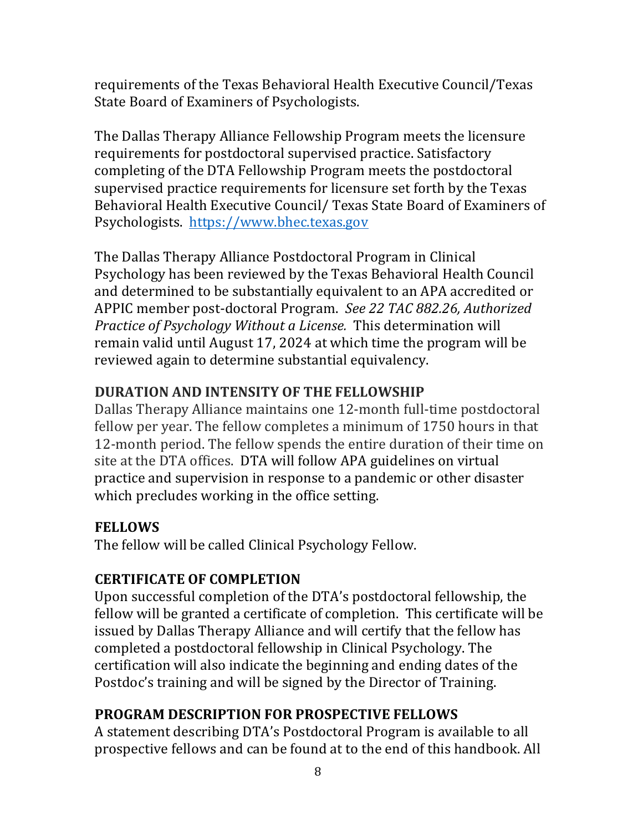requirements of the Texas Behavioral Health Executive Council/Texas State Board of Examiners of Psychologists.

The Dallas Therapy Alliance Fellowship Program meets the licensure requirements for postdoctoral supervised practice. Satisfactory completing of the DTA Fellowship Program meets the postdoctoral supervised practice requirements for licensure set forth by the Texas Behavioral Health Executive Council/ Texas State Board of Examiners of Psychologists. https://www.bhec.texas.gov

The Dallas Therapy Alliance Postdoctoral Program in Clinical Psychology has been reviewed by the Texas Behavioral Health Council and determined to be substantially equivalent to an APA accredited or APPIC member post-doctoral Program. See 22 TAC 882.26, Authorized *Practice of Psychology Without a License.* This determination will remain valid until August 17, 2024 at which time the program will be reviewed again to determine substantial equivalency.

## **DURATION AND INTENSITY OF THE FELLOWSHIP**

Dallas Therapy Alliance maintains one 12-month full-time postdoctoral fellow per year. The fellow completes a minimum of 1750 hours in that 12-month period. The fellow spends the entire duration of their time on site at the DTA offices. DTA will follow APA guidelines on virtual practice and supervision in response to a pandemic or other disaster which precludes working in the office setting.

## **FELLOWS**

The fellow will be called Clinical Psychology Fellow.

# **CERTIFICATE OF COMPLETION**

Upon successful completion of the DTA's postdoctoral fellowship, the fellow will be granted a certificate of completion. This certificate will be issued by Dallas Therapy Alliance and will certify that the fellow has completed a postdoctoral fellowship in Clinical Psychology. The certification will also indicate the beginning and ending dates of the Postdoc's training and will be signed by the Director of Training.

# **PROGRAM DESCRIPTION FOR PROSPECTIVE FELLOWS**

A statement describing DTA's Postdoctoral Program is available to all prospective fellows and can be found at to the end of this handbook. All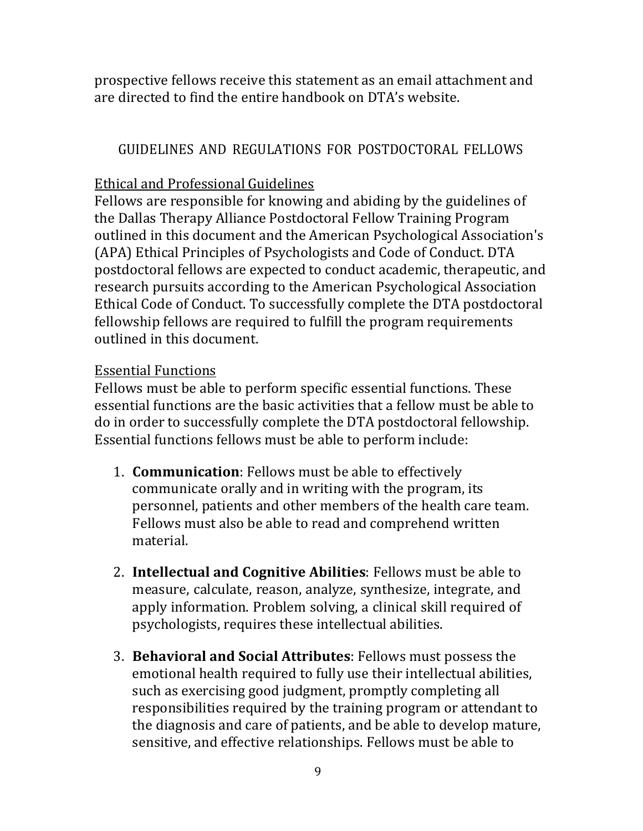prospective fellows receive this statement as an email attachment and are directed to find the entire handbook on DTA's website.

## GUIDELINES AND REGULATIONS FOR POSTDOCTORAL FELLOWS

## Ethical and Professional Guidelines

Fellows are responsible for knowing and abiding by the guidelines of the Dallas Therapy Alliance Postdoctoral Fellow Training Program outlined in this document and the American Psychological Association's (APA) Ethical Principles of Psychologists and Code of Conduct. DTA postdoctoral fellows are expected to conduct academic, therapeutic, and research pursuits according to the American Psychological Association Ethical Code of Conduct. To successfully complete the DTA postdoctoral fellowship fellows are required to fulfill the program requirements outlined in this document.

## Essential Functions

Fellows must be able to perform specific essential functions. These essential functions are the basic activities that a fellow must be able to do in order to successfully complete the DTA postdoctoral fellowship. Essential functions fellows must be able to perform include:

- 1. **Communication**: Fellows must be able to effectively communicate orally and in writing with the program, its personnel, patients and other members of the health care team. Fellows must also be able to read and comprehend written material.
- 2. **Intellectual and Cognitive Abilities**: Fellows must be able to measure, calculate, reason, analyze, synthesize, integrate, and apply information. Problem solving, a clinical skill required of psychologists, requires these intellectual abilities.
- **3. Behavioral and Social Attributes:** Fellows must possess the emotional health required to fully use their intellectual abilities, such as exercising good judgment, promptly completing all responsibilities required by the training program or attendant to the diagnosis and care of patients, and be able to develop mature, sensitive, and effective relationships. Fellows must be able to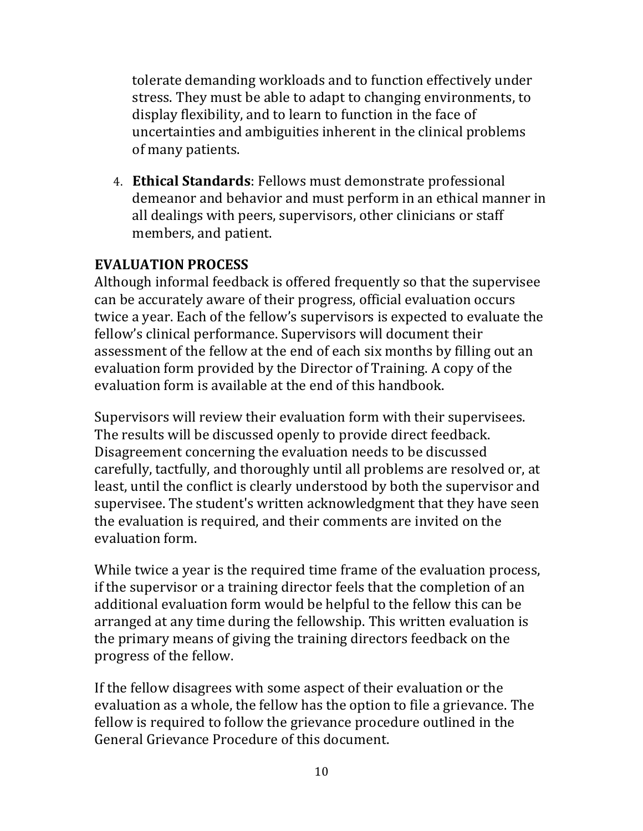tolerate demanding workloads and to function effectively under stress. They must be able to adapt to changing environments, to display flexibility, and to learn to function in the face of uncertainties and ambiguities inherent in the clinical problems of many patients.

4. **Ethical Standards**: Fellows must demonstrate professional demeanor and behavior and must perform in an ethical manner in all dealings with peers, supervisors, other clinicians or staff members, and patient.

### **EVALUATION PROCESS**

Although informal feedback is offered frequently so that the supervisee can be accurately aware of their progress, official evaluation occurs twice a year. Each of the fellow's supervisors is expected to evaluate the fellow's clinical performance. Supervisors will document their assessment of the fellow at the end of each six months by filling out an evaluation form provided by the Director of Training. A copy of the evaluation form is available at the end of this handbook.

Supervisors will review their evaluation form with their supervisees. The results will be discussed openly to provide direct feedback. Disagreement concerning the evaluation needs to be discussed carefully, tactfully, and thoroughly until all problems are resolved or, at least, until the conflict is clearly understood by both the supervisor and supervisee. The student's written acknowledgment that they have seen the evaluation is required, and their comments are invited on the evaluation form.

While twice a year is the required time frame of the evaluation process, if the supervisor or a training director feels that the completion of an additional evaluation form would be helpful to the fellow this can be arranged at any time during the fellowship. This written evaluation is the primary means of giving the training directors feedback on the progress of the fellow.

If the fellow disagrees with some aspect of their evaluation or the evaluation as a whole, the fellow has the option to file a grievance. The fellow is required to follow the grievance procedure outlined in the General Grievance Procedure of this document.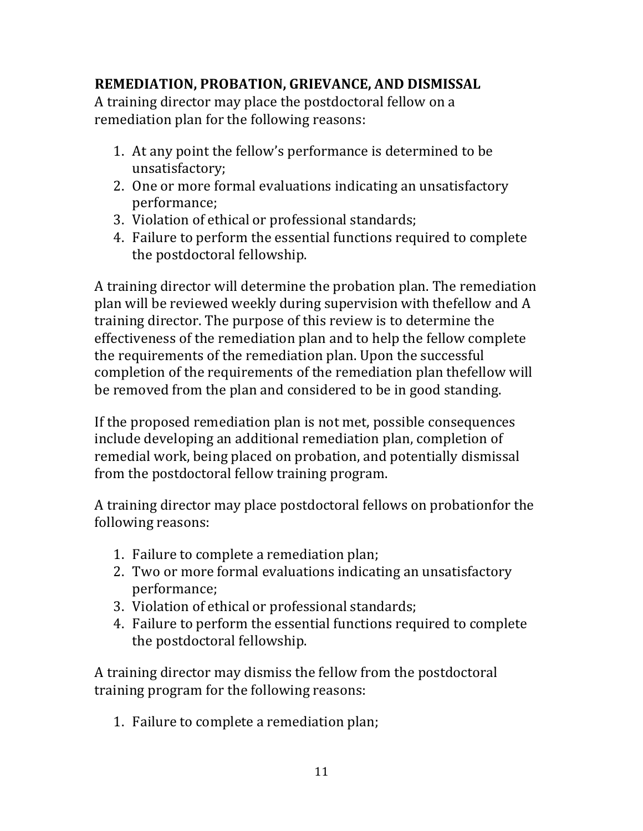# **REMEDIATION, PROBATION, GRIEVANCE, AND DISMISSAL**

A training director may place the postdoctoral fellow on a remediation plan for the following reasons:

- 1. At any point the fellow's performance is determined to be unsatisfactory;
- 2. One or more formal evaluations indicating an unsatisfactory performance;
- 3. Violation of ethical or professional standards;
- 4. Failure to perform the essential functions required to complete the postdoctoral fellowship.

A training director will determine the probation plan. The remediation plan will be reviewed weekly during supervision with thefellow and A training director. The purpose of this review is to determine the effectiveness of the remediation plan and to help the fellow complete the requirements of the remediation plan. Upon the successful completion of the requirements of the remediation plan thefellow will be removed from the plan and considered to be in good standing.

If the proposed remediation plan is not met, possible consequences include developing an additional remediation plan, completion of remedial work, being placed on probation, and potentially dismissal from the postdoctoral fellow training program.

A training director may place postdoctoral fellows on probationfor the following reasons:

- 1. Failure to complete a remediation plan;
- 2. Two or more formal evaluations indicating an unsatisfactory performance;
- 3. Violation of ethical or professional standards;
- 4. Failure to perform the essential functions required to complete the postdoctoral fellowship.

A training director may dismiss the fellow from the postdoctoral training program for the following reasons:

1. Failure to complete a remediation plan;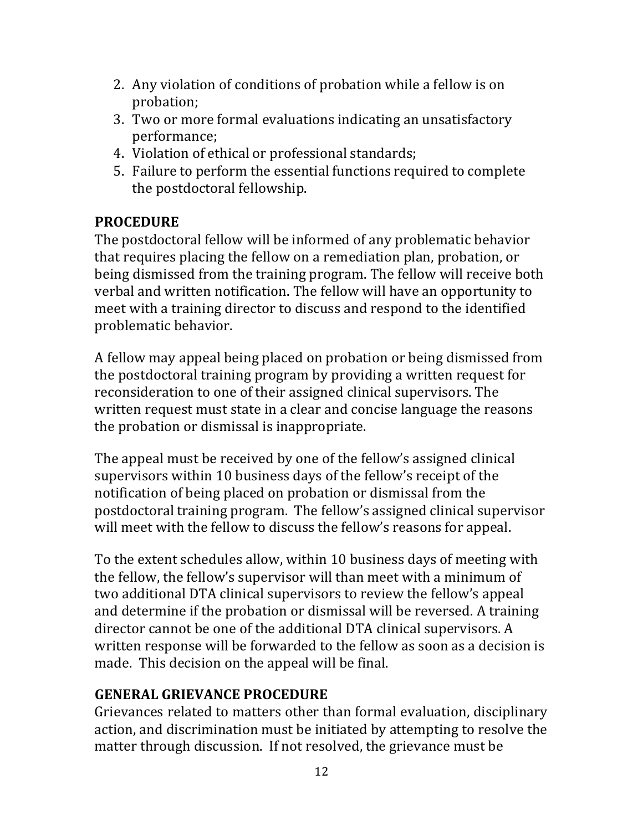- 2. Any violation of conditions of probation while a fellow is on probation;
- 3. Two or more formal evaluations indicating an unsatisfactory performance;
- 4. Violation of ethical or professional standards;
- 5. Failure to perform the essential functions required to complete the postdoctoral fellowship.

## **PROCEDURE**

The postdoctoral fellow will be informed of any problematic behavior that requires placing the fellow on a remediation plan, probation, or being dismissed from the training program. The fellow will receive both verbal and written notification. The fellow will have an opportunity to meet with a training director to discuss and respond to the identified problematic behavior.

A fellow may appeal being placed on probation or being dismissed from the postdoctoral training program by providing a written request for reconsideration to one of their assigned clinical supervisors. The written request must state in a clear and concise language the reasons the probation or dismissal is inappropriate.

The appeal must be received by one of the fellow's assigned clinical supervisors within 10 business days of the fellow's receipt of the notification of being placed on probation or dismissal from the postdoctoral training program. The fellow's assigned clinical supervisor will meet with the fellow to discuss the fellow's reasons for appeal.

To the extent schedules allow, within 10 business days of meeting with the fellow, the fellow's supervisor will than meet with a minimum of two additional DTA clinical supervisors to review the fellow's appeal and determine if the probation or dismissal will be reversed. A training director cannot be one of the additional DTA clinical supervisors. A written response will be forwarded to the fellow as soon as a decision is made. This decision on the appeal will be final.

# **GENERAL GRIEVANCE PROCEDURE**

Grievances related to matters other than formal evaluation, disciplinary action, and discrimination must be initiated by attempting to resolve the matter through discussion. If not resolved, the grievance must be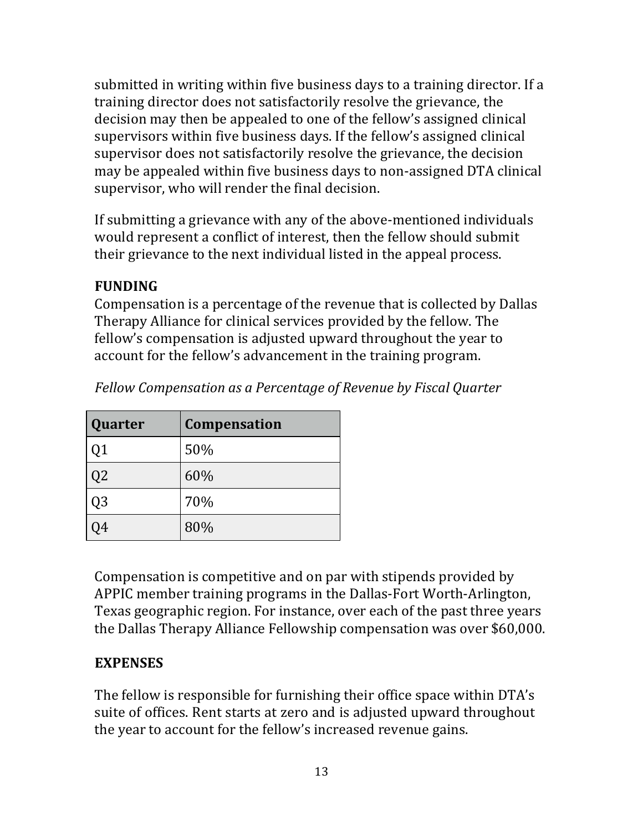submitted in writing within five business days to a training director. If a training director does not satisfactorily resolve the grievance, the decision may then be appealed to one of the fellow's assigned clinical supervisors within five business days. If the fellow's assigned clinical supervisor does not satisfactorily resolve the grievance, the decision may be appealed within five business days to non-assigned DTA clinical supervisor, who will render the final decision.

If submitting a grievance with any of the above-mentioned individuals would represent a conflict of interest, then the fellow should submit their grievance to the next individual listed in the appeal process.

## **FUNDING**

Compensation is a percentage of the revenue that is collected by Dallas Therapy Alliance for clinical services provided by the fellow. The fellow's compensation is adjusted upward throughout the year to account for the fellow's advancement in the training program.

| Quarter        | <b>Compensation</b> |
|----------------|---------------------|
| Q <sub>1</sub> | 50%                 |
| Q2             | 60%                 |
| Q3             | 70%                 |
|                | 80%                 |

*Fellow Compensation as a Percentage of Revenue by Fiscal Quarter*

Compensation is competitive and on par with stipends provided by APPIC member training programs in the Dallas-Fort Worth-Arlington, Texas geographic region. For instance, over each of the past three years the Dallas Therapy Alliance Fellowship compensation was over \$60,000.

## **EXPENSES**

The fellow is responsible for furnishing their office space within DTA's suite of offices. Rent starts at zero and is adjusted upward throughout the year to account for the fellow's increased revenue gains.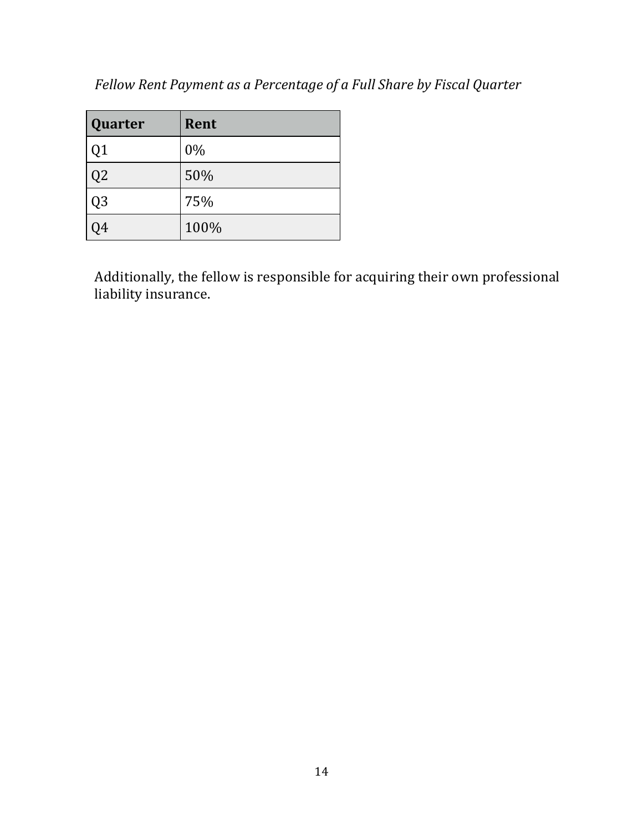|  |  | Fellow Rent Payment as a Percentage of a Full Share by Fiscal Quarter |  |
|--|--|-----------------------------------------------------------------------|--|
|  |  |                                                                       |  |

| Quarter        | Rent |
|----------------|------|
| Q <sub>1</sub> | 0%   |
| Q2             | 50%  |
| Q3             | 75%  |
| 14             | 100% |

Additionally, the fellow is responsible for acquiring their own professional liability insurance.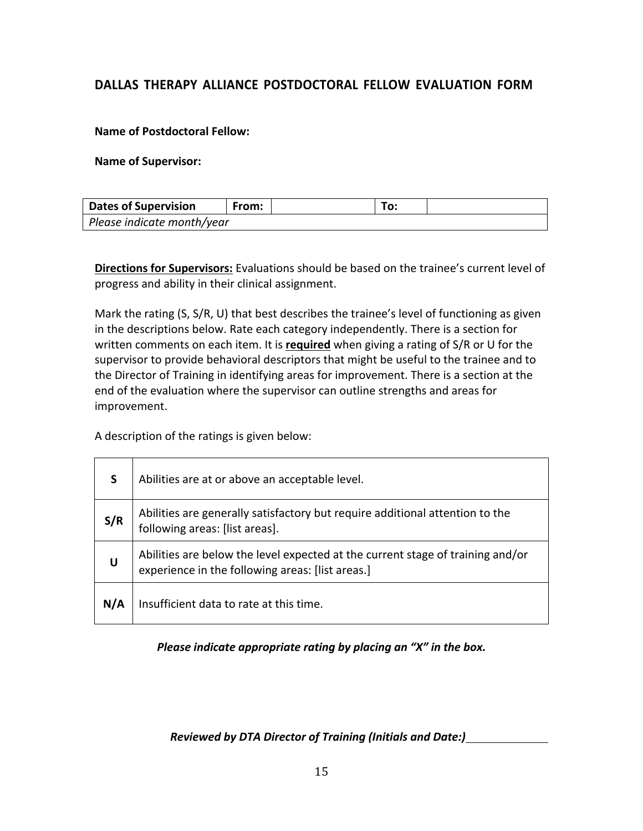### **DALLAS THERAPY ALLIANCE POSTDOCTORAL FELLOW EVALUATION FORM**

#### **Name of Postdoctoral Fellow:**

#### **Name of Supervisor:**

| <b>Dates of Supervision</b> | From: |  | Го: |  |  |  |
|-----------------------------|-------|--|-----|--|--|--|
| Please indicate month/year  |       |  |     |  |  |  |

**Directions for Supervisors:** Evaluations should be based on the trainee's current level of progress and ability in their clinical assignment.

Mark the rating (S, S/R, U) that best describes the trainee's level of functioning as given in the descriptions below. Rate each category independently. There is a section for written comments on each item. It is **required** when giving a rating of S/R or U for the supervisor to provide behavioral descriptors that might be useful to the trainee and to the Director of Training in identifying areas for improvement. There is a section at the end of the evaluation where the supervisor can outline strengths and areas for improvement.

A description of the ratings is given below:

| <b>S</b> | Abilities are at or above an acceptable level.                                                                                     |
|----------|------------------------------------------------------------------------------------------------------------------------------------|
| S/R      | Abilities are generally satisfactory but require additional attention to the<br>following areas: [list areas].                     |
| U        | Abilities are below the level expected at the current stage of training and/or<br>experience in the following areas: [list areas.] |
| N/A      | Insufficient data to rate at this time.                                                                                            |

#### *Please indicate appropriate rating by placing an "X" in the box.*

*Reviewed by DTA Director of Training (Initials and Date:)*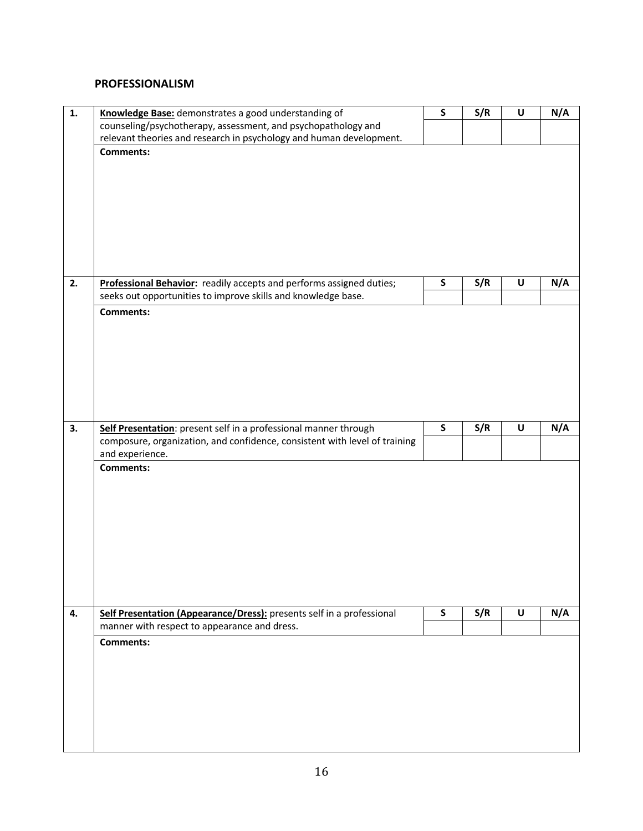#### **PROFESSIONALISM**

| 1. | Knowledge Base: demonstrates a good understanding of                       | S            | S/R | U | N/A |
|----|----------------------------------------------------------------------------|--------------|-----|---|-----|
|    | counseling/psychotherapy, assessment, and psychopathology and              |              |     |   |     |
|    | relevant theories and research in psychology and human development.        |              |     |   |     |
|    | <b>Comments:</b>                                                           |              |     |   |     |
|    |                                                                            |              |     |   |     |
|    |                                                                            |              |     |   |     |
|    |                                                                            |              |     |   |     |
|    |                                                                            |              |     |   |     |
|    |                                                                            |              |     |   |     |
|    |                                                                            |              |     |   |     |
|    |                                                                            |              |     |   |     |
|    |                                                                            |              |     |   |     |
| 2. | Professional Behavior: readily accepts and performs assigned duties;       | S            | S/R | U | N/A |
|    | seeks out opportunities to improve skills and knowledge base.              |              |     |   |     |
|    | Comments:                                                                  |              |     |   |     |
|    |                                                                            |              |     |   |     |
|    |                                                                            |              |     |   |     |
|    |                                                                            |              |     |   |     |
|    |                                                                            |              |     |   |     |
|    |                                                                            |              |     |   |     |
|    |                                                                            |              |     |   |     |
|    |                                                                            |              |     |   |     |
| 3. | Self Presentation: present self in a professional manner through           | $\mathsf{s}$ | S/R | U | N/A |
|    | composure, organization, and confidence, consistent with level of training |              |     |   |     |
|    | and experience.                                                            |              |     |   |     |
|    | <b>Comments:</b>                                                           |              |     |   |     |
|    |                                                                            |              |     |   |     |
|    |                                                                            |              |     |   |     |
|    |                                                                            |              |     |   |     |
|    |                                                                            |              |     |   |     |
|    |                                                                            |              |     |   |     |
|    |                                                                            |              |     |   |     |
|    |                                                                            |              |     |   |     |
|    |                                                                            |              |     |   |     |
|    |                                                                            |              |     |   |     |
| 4. | Self Presentation (Appearance/Dress): presents self in a professional      | S            | S/R | U | N/A |
|    | manner with respect to appearance and dress.                               |              |     |   |     |
|    | <b>Comments:</b>                                                           |              |     |   |     |
|    |                                                                            |              |     |   |     |
|    |                                                                            |              |     |   |     |
|    |                                                                            |              |     |   |     |
|    |                                                                            |              |     |   |     |
|    |                                                                            |              |     |   |     |
|    |                                                                            |              |     |   |     |
|    |                                                                            |              |     |   |     |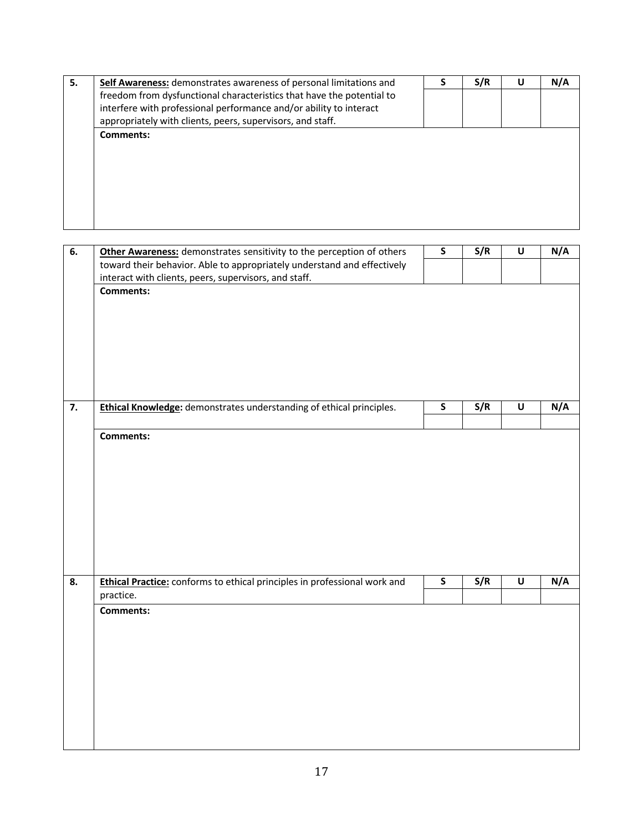| 5. | Self Awareness: demonstrates awareness of personal limitations and    | S/R | U | N/A |
|----|-----------------------------------------------------------------------|-----|---|-----|
|    | freedom from dysfunctional characteristics that have the potential to |     |   |     |
|    | interfere with professional performance and/or ability to interact    |     |   |     |
|    | appropriately with clients, peers, supervisors, and staff.            |     |   |     |
|    | <b>Comments:</b>                                                      |     |   |     |
|    |                                                                       |     |   |     |
|    |                                                                       |     |   |     |
|    |                                                                       |     |   |     |
|    |                                                                       |     |   |     |
|    |                                                                       |     |   |     |
|    |                                                                       |     |   |     |
|    |                                                                       |     |   |     |

| 6. | Other Awareness: demonstrates sensitivity to the perception of others     | $\mathsf S$  | S/R | $\sf U$            | N/A |
|----|---------------------------------------------------------------------------|--------------|-----|--------------------|-----|
|    | toward their behavior. Able to appropriately understand and effectively   |              |     |                    |     |
|    | interact with clients, peers, supervisors, and staff.<br><b>Comments:</b> |              |     |                    |     |
|    |                                                                           |              |     |                    |     |
|    |                                                                           |              |     |                    |     |
|    |                                                                           |              |     |                    |     |
|    |                                                                           |              |     |                    |     |
|    |                                                                           |              |     |                    |     |
|    |                                                                           |              |     |                    |     |
|    |                                                                           |              |     |                    |     |
| 7. | Ethical Knowledge: demonstrates understanding of ethical principles.      | ${\sf S}$    | S/R | $\pmb{\pmb{\cup}}$ | N/A |
|    | <b>Comments:</b>                                                          |              |     |                    |     |
|    |                                                                           |              |     |                    |     |
|    |                                                                           |              |     |                    |     |
|    |                                                                           |              |     |                    |     |
|    |                                                                           |              |     |                    |     |
|    |                                                                           |              |     |                    |     |
|    |                                                                           |              |     |                    |     |
|    |                                                                           |              |     |                    |     |
|    |                                                                           |              |     |                    |     |
| 8. | Ethical Practice: conforms to ethical principles in professional work and | $\mathsf{s}$ | S/R | $\sf U$            | N/A |
|    | practice.                                                                 |              |     |                    |     |
|    | <b>Comments:</b>                                                          |              |     |                    |     |
|    |                                                                           |              |     |                    |     |
|    |                                                                           |              |     |                    |     |
|    |                                                                           |              |     |                    |     |
|    |                                                                           |              |     |                    |     |
|    |                                                                           |              |     |                    |     |
|    |                                                                           |              |     |                    |     |
|    |                                                                           |              |     |                    |     |
|    |                                                                           |              |     |                    |     |
|    |                                                                           |              |     |                    |     |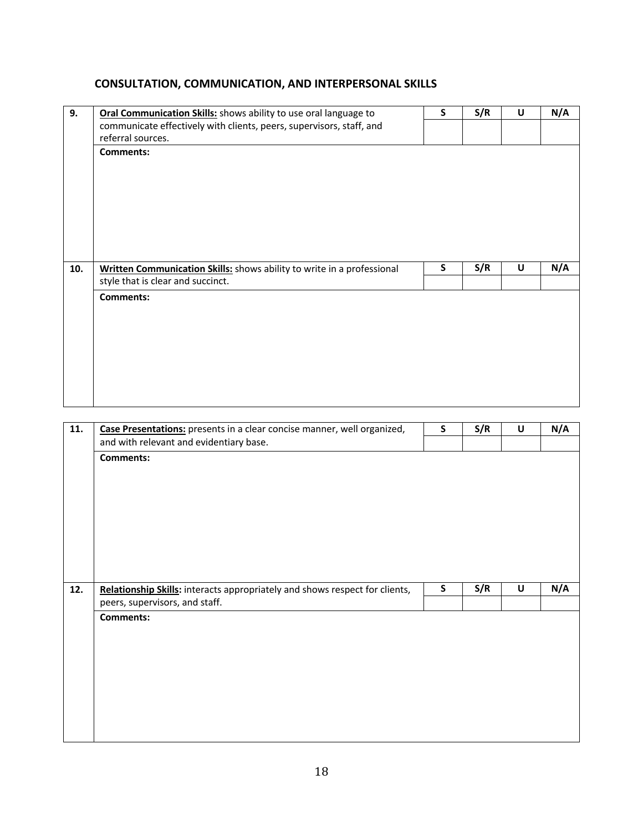### **CONSULTATION, COMMUNICATION, AND INTERPERSONAL SKILLS**

| 9.  | Oral Communication Skills: shows ability to use oral language to       | S | S/R | U | N/A |
|-----|------------------------------------------------------------------------|---|-----|---|-----|
|     | communicate effectively with clients, peers, supervisors, staff, and   |   |     |   |     |
|     | referral sources.                                                      |   |     |   |     |
|     | <b>Comments:</b>                                                       |   |     |   |     |
|     |                                                                        |   |     |   |     |
|     |                                                                        |   |     |   |     |
|     |                                                                        |   |     |   |     |
|     |                                                                        |   |     |   |     |
|     |                                                                        |   |     |   |     |
|     |                                                                        |   |     |   |     |
|     |                                                                        |   |     |   |     |
| 10. | Written Communication Skills: shows ability to write in a professional | S | S/R | U | N/A |
|     | style that is clear and succinct.                                      |   |     |   |     |
|     |                                                                        |   |     |   |     |
|     | <b>Comments:</b>                                                       |   |     |   |     |
|     |                                                                        |   |     |   |     |
|     |                                                                        |   |     |   |     |
|     |                                                                        |   |     |   |     |
|     |                                                                        |   |     |   |     |
|     |                                                                        |   |     |   |     |
|     |                                                                        |   |     |   |     |
|     |                                                                        |   |     |   |     |

| 11. | Case Presentations: presents in a clear concise manner, well organized,     | $\mathsf{s}$ | S/R | U                  | N/A |
|-----|-----------------------------------------------------------------------------|--------------|-----|--------------------|-----|
|     | and with relevant and evidentiary base.                                     |              |     |                    |     |
|     | <b>Comments:</b>                                                            |              |     |                    |     |
|     |                                                                             |              |     |                    |     |
|     |                                                                             |              |     |                    |     |
|     |                                                                             |              |     |                    |     |
|     |                                                                             |              |     |                    |     |
|     |                                                                             |              |     |                    |     |
|     |                                                                             |              |     |                    |     |
|     |                                                                             |              |     |                    |     |
| 12. | Relationship Skills: interacts appropriately and shows respect for clients, | $\mathsf{s}$ | S/R | $\pmb{\pmb{\cup}}$ | N/A |
|     |                                                                             |              |     |                    |     |
|     |                                                                             |              |     |                    |     |
|     | peers, supervisors, and staff.                                              |              |     |                    |     |
|     | <b>Comments:</b>                                                            |              |     |                    |     |
|     |                                                                             |              |     |                    |     |
|     |                                                                             |              |     |                    |     |
|     |                                                                             |              |     |                    |     |
|     |                                                                             |              |     |                    |     |
|     |                                                                             |              |     |                    |     |
|     |                                                                             |              |     |                    |     |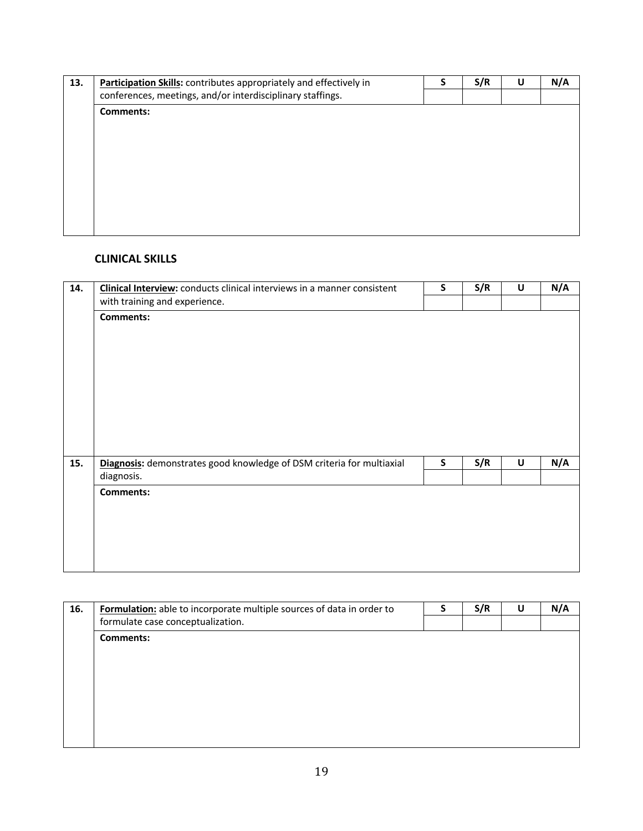| 13. | Participation Skills: contributes appropriately and effectively in | S/R | U | N/A |
|-----|--------------------------------------------------------------------|-----|---|-----|
|     | conferences, meetings, and/or interdisciplinary staffings.         |     |   |     |
|     | <b>Comments:</b>                                                   |     |   |     |
|     |                                                                    |     |   |     |
|     |                                                                    |     |   |     |
|     |                                                                    |     |   |     |
|     |                                                                    |     |   |     |
|     |                                                                    |     |   |     |
|     |                                                                    |     |   |     |
|     |                                                                    |     |   |     |
|     |                                                                    |     |   |     |
|     |                                                                    |     |   |     |

#### **CLINICAL SKILLS**

| 14. | Clinical Interview: conducts clinical interviews in a manner consistent | S | S/R | U | N/A |
|-----|-------------------------------------------------------------------------|---|-----|---|-----|
|     | with training and experience.                                           |   |     |   |     |
|     | <b>Comments:</b>                                                        |   |     |   |     |
|     |                                                                         |   |     |   |     |
|     |                                                                         |   |     |   |     |
|     |                                                                         |   |     |   |     |
|     |                                                                         |   |     |   |     |
|     |                                                                         |   |     |   |     |
|     |                                                                         |   |     |   |     |
|     |                                                                         |   |     |   |     |
|     |                                                                         |   |     |   |     |
|     |                                                                         |   |     |   |     |
| 15. | Diagnosis: demonstrates good knowledge of DSM criteria for multiaxial   | S | S/R | U | N/A |
|     | diagnosis.                                                              |   |     |   |     |
|     | <b>Comments:</b>                                                        |   |     |   |     |
|     |                                                                         |   |     |   |     |
|     |                                                                         |   |     |   |     |
|     |                                                                         |   |     |   |     |
|     |                                                                         |   |     |   |     |
|     |                                                                         |   |     |   |     |

| N/A |
|-----|
|     |
|     |
|     |
|     |
|     |
|     |
|     |
|     |
|     |
|     |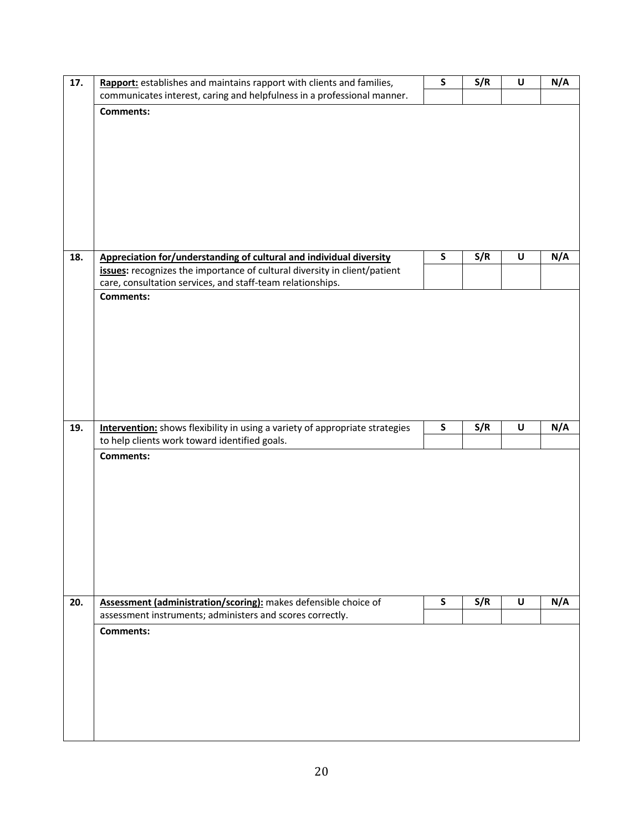| communicates interest, caring and helpfulness in a professional manner.             |              |     |   | N/A |
|-------------------------------------------------------------------------------------|--------------|-----|---|-----|
| <b>Comments:</b>                                                                    |              |     |   |     |
|                                                                                     |              |     |   |     |
|                                                                                     |              |     |   |     |
|                                                                                     |              |     |   |     |
|                                                                                     |              |     |   |     |
|                                                                                     |              |     |   |     |
|                                                                                     |              |     |   |     |
|                                                                                     |              |     |   |     |
|                                                                                     |              |     |   |     |
| Appreciation for/understanding of cultural and individual diversity<br>18.          | $\mathsf S$  | S/R | U | N/A |
| issues: recognizes the importance of cultural diversity in client/patient           |              |     |   |     |
| care, consultation services, and staff-team relationships.                          |              |     |   |     |
| <b>Comments:</b>                                                                    |              |     |   |     |
|                                                                                     |              |     |   |     |
|                                                                                     |              |     |   |     |
|                                                                                     |              |     |   |     |
|                                                                                     |              |     |   |     |
|                                                                                     |              |     |   |     |
|                                                                                     |              |     |   |     |
|                                                                                     |              |     |   |     |
| Intervention: shows flexibility in using a variety of appropriate strategies<br>19. | ${\sf S}$    | S/R | U | N/A |
| to help clients work toward identified goals.                                       |              |     |   |     |
| <b>Comments:</b>                                                                    |              |     |   |     |
|                                                                                     |              |     |   |     |
|                                                                                     |              |     |   |     |
|                                                                                     |              |     |   |     |
|                                                                                     |              |     |   |     |
|                                                                                     |              |     |   |     |
|                                                                                     |              |     |   |     |
|                                                                                     |              |     |   |     |
|                                                                                     |              |     |   |     |
| Assessment (administration/scoring): makes defensible choice of<br>20.              | $\mathsf{S}$ | S/R | U | N/A |
| assessment instruments; administers and scores correctly.                           |              |     |   |     |
| <b>Comments:</b>                                                                    |              |     |   |     |
|                                                                                     |              |     |   |     |
|                                                                                     |              |     |   |     |
|                                                                                     |              |     |   |     |
|                                                                                     |              |     |   |     |
|                                                                                     |              |     |   |     |
|                                                                                     |              |     |   |     |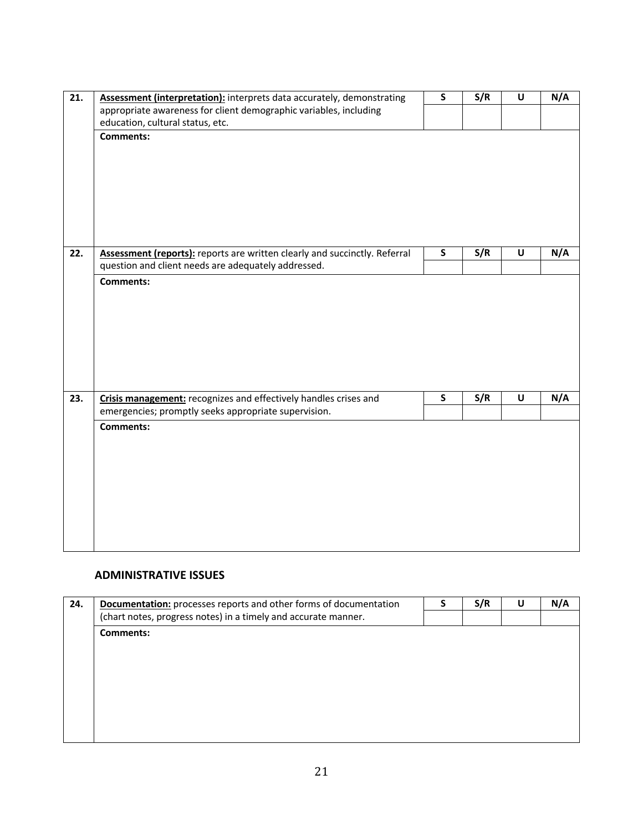| 21. | Assessment (interpretation): interprets data accurately, demonstrating     | $\mathsf{s}$            | S/R | U                  | N/A |
|-----|----------------------------------------------------------------------------|-------------------------|-----|--------------------|-----|
|     | appropriate awareness for client demographic variables, including          |                         |     |                    |     |
|     | education, cultural status, etc.                                           |                         |     |                    |     |
|     | <b>Comments:</b>                                                           |                         |     |                    |     |
|     |                                                                            |                         |     |                    |     |
|     |                                                                            |                         |     |                    |     |
|     |                                                                            |                         |     |                    |     |
|     |                                                                            |                         |     |                    |     |
|     |                                                                            |                         |     |                    |     |
|     |                                                                            |                         |     |                    |     |
|     |                                                                            |                         |     |                    |     |
| 22. | Assessment (reports): reports are written clearly and succinctly. Referral | $\overline{\mathsf{s}}$ | S/R | $\pmb{\pmb{\cup}}$ | N/A |
|     | question and client needs are adequately addressed.                        |                         |     |                    |     |
|     | <b>Comments:</b>                                                           |                         |     |                    |     |
|     |                                                                            |                         |     |                    |     |
|     |                                                                            |                         |     |                    |     |
|     |                                                                            |                         |     |                    |     |
|     |                                                                            |                         |     |                    |     |
|     |                                                                            |                         |     |                    |     |
|     |                                                                            |                         |     |                    |     |
|     |                                                                            |                         |     |                    |     |
| 23. | Crisis management: recognizes and effectively handles crises and           | S                       | S/R | $\pmb{\pmb{\cup}}$ | N/A |
|     | emergencies; promptly seeks appropriate supervision.                       |                         |     |                    |     |
|     | <b>Comments:</b>                                                           |                         |     |                    |     |
|     |                                                                            |                         |     |                    |     |
|     |                                                                            |                         |     |                    |     |
|     |                                                                            |                         |     |                    |     |
|     |                                                                            |                         |     |                    |     |
|     |                                                                            |                         |     |                    |     |
|     |                                                                            |                         |     |                    |     |
|     |                                                                            |                         |     |                    |     |
|     |                                                                            |                         |     |                    |     |
|     |                                                                            |                         |     |                    |     |

#### **ADMINISTRATIVE ISSUES**

| 24. | <b>Documentation:</b> processes reports and other forms of documentation | S/R | U | N/A |
|-----|--------------------------------------------------------------------------|-----|---|-----|
|     | (chart notes, progress notes) in a timely and accurate manner.           |     |   |     |
|     | <b>Comments:</b>                                                         |     |   |     |
|     |                                                                          |     |   |     |
|     |                                                                          |     |   |     |
|     |                                                                          |     |   |     |
|     |                                                                          |     |   |     |
|     |                                                                          |     |   |     |
|     |                                                                          |     |   |     |
|     |                                                                          |     |   |     |
|     |                                                                          |     |   |     |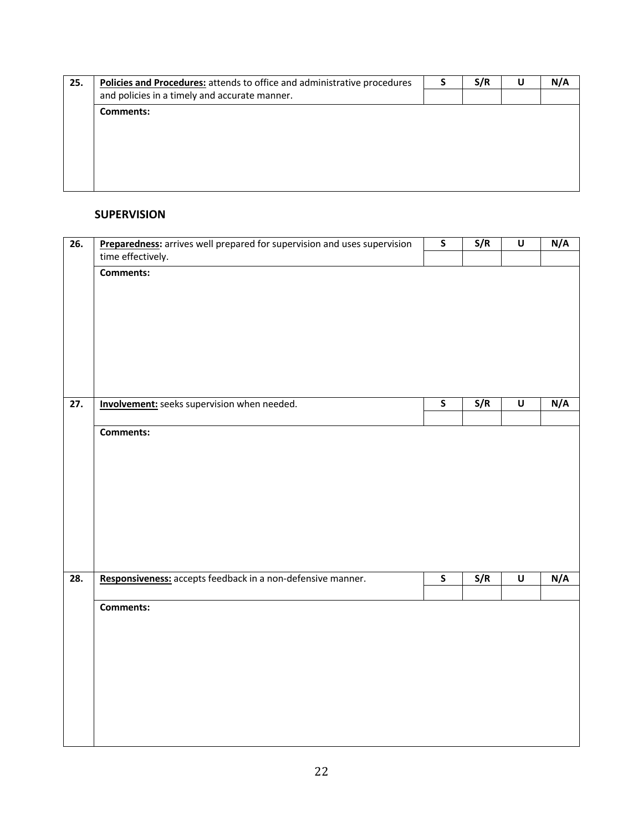| 25. | Policies and Procedures: attends to office and administrative procedures | S/R | U | N/A |
|-----|--------------------------------------------------------------------------|-----|---|-----|
|     | and policies in a timely and accurate manner.                            |     |   |     |
|     | <b>Comments:</b>                                                         |     |   |     |
|     |                                                                          |     |   |     |
|     |                                                                          |     |   |     |
|     |                                                                          |     |   |     |
|     |                                                                          |     |   |     |
|     |                                                                          |     |   |     |
|     |                                                                          |     |   |     |

#### **SUPERVISION**

| $\overline{26}$ . | Preparedness: arrives well prepared for supervision and uses supervision | $\overline{\mathsf{s}}$ | S/R | $\overline{\mathsf{U}}$ | N/A |
|-------------------|--------------------------------------------------------------------------|-------------------------|-----|-------------------------|-----|
|                   | time effectively.                                                        |                         |     |                         |     |
|                   | <b>Comments:</b>                                                         |                         |     |                         |     |
|                   |                                                                          |                         |     |                         |     |
|                   |                                                                          |                         |     |                         |     |
|                   |                                                                          |                         |     |                         |     |
|                   |                                                                          |                         |     |                         |     |
|                   |                                                                          |                         |     |                         |     |
|                   |                                                                          |                         |     |                         |     |
| $\overline{27}$ . | Involvement: seeks supervision when needed.                              | $\overline{\mathsf{s}}$ | S/R | $\overline{\mathsf{U}}$ | N/A |
|                   | Comments:                                                                |                         |     |                         |     |
|                   |                                                                          |                         |     |                         |     |
|                   |                                                                          |                         |     |                         |     |
|                   |                                                                          |                         |     |                         |     |
|                   |                                                                          |                         |     |                         |     |
|                   |                                                                          |                         |     |                         |     |
|                   |                                                                          |                         |     |                         |     |
|                   |                                                                          |                         |     |                         |     |
| 28.               | Responsiveness: accepts feedback in a non-defensive manner.              | $\mathsf{s}$            | S/R | $\sf U$                 | N/A |
|                   |                                                                          |                         |     |                         |     |
|                   | Comments:                                                                |                         |     |                         |     |
|                   |                                                                          |                         |     |                         |     |
|                   |                                                                          |                         |     |                         |     |
|                   |                                                                          |                         |     |                         |     |
|                   |                                                                          |                         |     |                         |     |
|                   |                                                                          |                         |     |                         |     |
|                   |                                                                          |                         |     |                         |     |
|                   |                                                                          |                         |     |                         |     |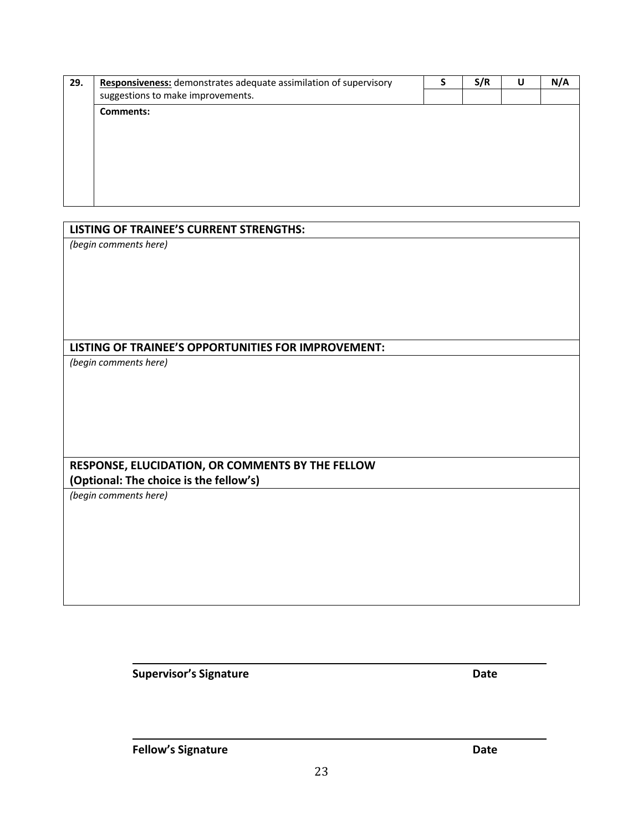| 29. | Responsiveness: demonstrates adequate assimilation of supervisory | S/R | U | N/A |
|-----|-------------------------------------------------------------------|-----|---|-----|
|     | suggestions to make improvements.                                 |     |   |     |
|     | <b>Comments:</b>                                                  |     |   |     |
|     |                                                                   |     |   |     |
|     |                                                                   |     |   |     |
|     |                                                                   |     |   |     |
|     |                                                                   |     |   |     |
|     |                                                                   |     |   |     |
|     |                                                                   |     |   |     |
|     |                                                                   |     |   |     |

| <b>LISTING OF TRAINEE'S CURRENT STRENGTHS:</b>      |
|-----------------------------------------------------|
| (begin comments here)                               |
|                                                     |
|                                                     |
|                                                     |
|                                                     |
|                                                     |
| LISTING OF TRAINEE'S OPPORTUNITIES FOR IMPROVEMENT: |
| (begin comments here)                               |
|                                                     |
|                                                     |
|                                                     |
|                                                     |
|                                                     |
|                                                     |
| RESPONSE, ELUCIDATION, OR COMMENTS BY THE FELLOW    |
| (Optional: The choice is the fellow's)              |
| (begin comments here)                               |
|                                                     |
|                                                     |
|                                                     |
|                                                     |
|                                                     |
|                                                     |

**Supervisor's Signature Date**

r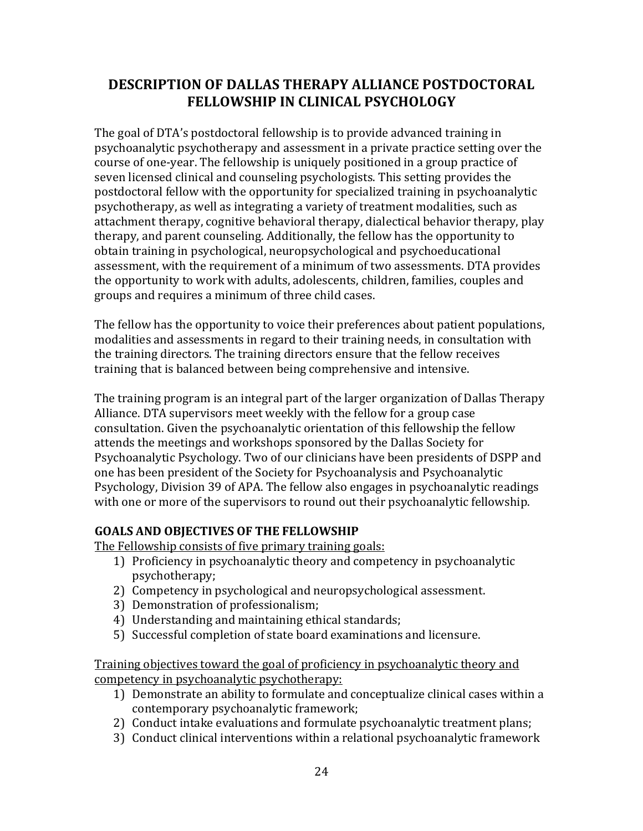### **DESCRIPTION OF DALLAS THERAPY ALLIANCE POSTDOCTORAL FELLOWSHIP IN CLINICAL PSYCHOLOGY**

The goal of DTA's postdoctoral fellowship is to provide advanced training in psychoanalytic psychotherapy and assessment in a private practice setting over the course of one-year. The fellowship is uniquely positioned in a group practice of seven licensed clinical and counseling psychologists. This setting provides the postdoctoral fellow with the opportunity for specialized training in psychoanalytic psychotherapy, as well as integrating a variety of treatment modalities, such as attachment therapy, cognitive behavioral therapy, dialectical behavior therapy, play therapy, and parent counseling. Additionally, the fellow has the opportunity to obtain training in psychological, neuropsychological and psychoeducational assessment, with the requirement of a minimum of two assessments. DTA provides the opportunity to work with adults, adolescents, children, families, couples and groups and requires a minimum of three child cases.

The fellow has the opportunity to voice their preferences about patient populations, modalities and assessments in regard to their training needs, in consultation with the training directors. The training directors ensure that the fellow receives training that is balanced between being comprehensive and intensive.

The training program is an integral part of the larger organization of Dallas Therapy Alliance. DTA supervisors meet weekly with the fellow for a group case consultation. Given the psychoanalytic orientation of this fellowship the fellow attends the meetings and workshops sponsored by the Dallas Society for Psychoanalytic Psychology. Two of our clinicians have been presidents of DSPP and one has been president of the Society for Psychoanalysis and Psychoanalytic Psychology, Division 39 of APA. The fellow also engages in psychoanalytic readings with one or more of the supervisors to round out their psychoanalytic fellowship.

### **GOALS AND OBJECTIVES OF THE FELLOWSHIP**

The Fellowship consists of five primary training goals:

- 1) Proficiency in psychoanalytic theory and competency in psychoanalytic psychotherapy;
- 2) Competency in psychological and neuropsychological assessment.
- 3) Demonstration of professionalism;
- 4) Understanding and maintaining ethical standards;
- 5) Successful completion of state board examinations and licensure.

Training objectives toward the goal of proficiency in psychoanalytic theory and competency in psychoanalytic psychotherapy:

- 1) Demonstrate an ability to formulate and conceptualize clinical cases within a contemporary psychoanalytic framework;
- 2) Conduct intake evaluations and formulate psychoanalytic treatment plans;
- 3) Conduct clinical interventions within a relational psychoanalytic framework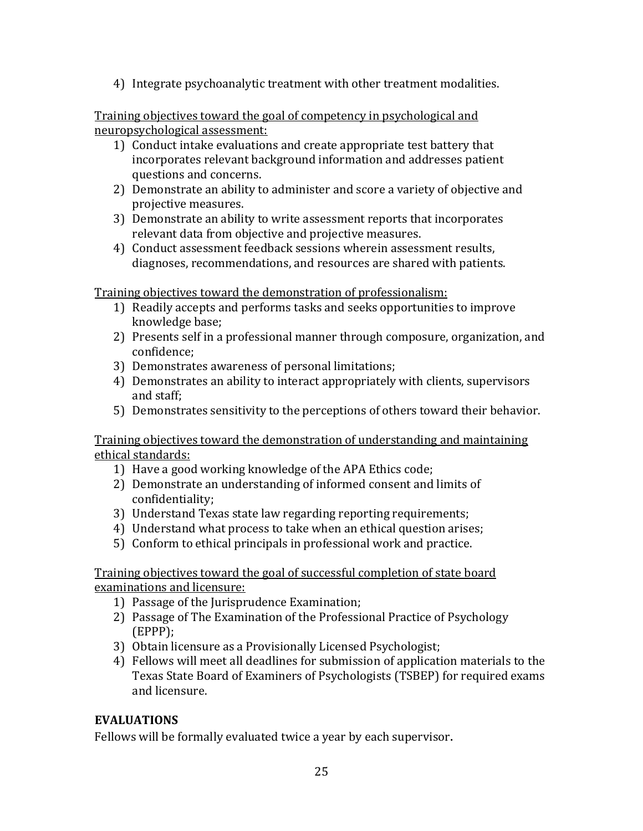4) Integrate psychoanalytic treatment with other treatment modalities.

Training objectives toward the goal of competency in psychological and neuropsychological assessment:

- 1) Conduct intake evaluations and create appropriate test battery that incorporates relevant background information and addresses patient questions and concerns.
- 2) Demonstrate an ability to administer and score a variety of objective and projective measures.
- 3) Demonstrate an ability to write assessment reports that incorporates relevant data from objective and projective measures.
- 4) Conduct assessment feedback sessions wherein assessment results, diagnoses, recommendations, and resources are shared with patients.

Training objectives toward the demonstration of professionalism:

- 1) Readily accepts and performs tasks and seeks opportunities to improve knowledge base;
- 2) Presents self in a professional manner through composure, organization, and confidence;
- 3) Demonstrates awareness of personal limitations;
- 4) Demonstrates an ability to interact appropriately with clients, supervisors and staff;
- 5) Demonstrates sensitivity to the perceptions of others toward their behavior.

Training objectives toward the demonstration of understanding and maintaining ethical standards:

- 1) Have a good working knowledge of the APA Ethics code;
- 2) Demonstrate an understanding of informed consent and limits of confidentiality;
- 3) Understand Texas state law regarding reporting requirements;
- 4) Understand what process to take when an ethical question arises;
- 5) Conform to ethical principals in professional work and practice.

Training objectives toward the goal of successful completion of state board examinations and licensure:

- 1) Passage of the Jurisprudence Examination;
- 2) Passage of The Examination of the Professional Practice of Psychology (EPPP);
- 3) Obtain licensure as a Provisionally Licensed Psychologist;
- 4) Fellows will meet all deadlines for submission of application materials to the Texas State Board of Examiners of Psychologists (TSBEP) for required exams and licensure.

#### **EVALUATIONS**

Fellows will be formally evaluated twice a year by each supervisor.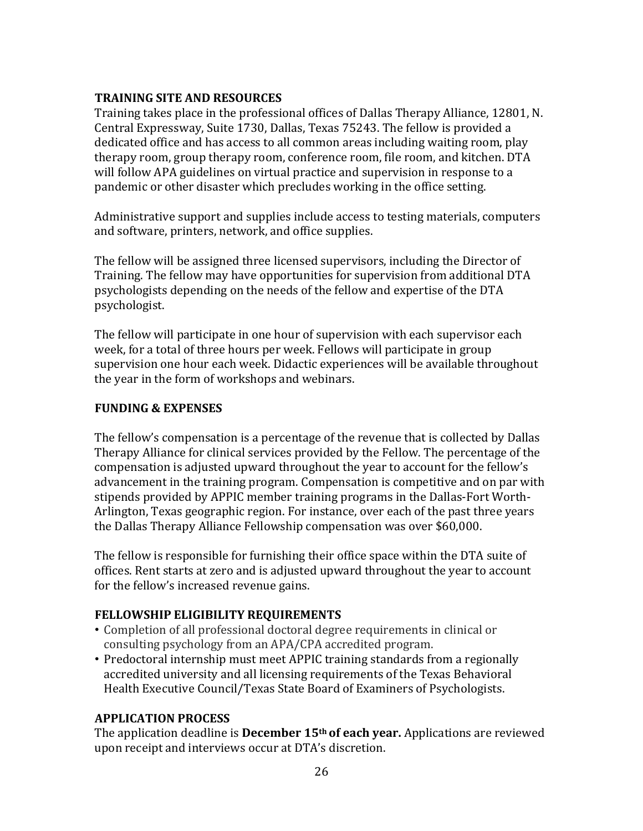#### **TRAINING SITE AND RESOURCES**

Training takes place in the professional offices of Dallas Therapy Alliance, 12801, N. Central Expressway, Suite 1730, Dallas, Texas 75243. The fellow is provided a dedicated office and has access to all common areas including waiting room, play therapy room, group therapy room, conference room, file room, and kitchen. DTA will follow APA guidelines on virtual practice and supervision in response to a pandemic or other disaster which precludes working in the office setting.

Administrative support and supplies include access to testing materials, computers and software, printers, network, and office supplies.

The fellow will be assigned three licensed supervisors, including the Director of Training. The fellow may have opportunities for supervision from additional DTA psychologists depending on the needs of the fellow and expertise of the DTA psychologist.

The fellow will participate in one hour of supervision with each supervisor each week, for a total of three hours per week. Fellows will participate in group supervision one hour each week. Didactic experiences will be available throughout the year in the form of workshops and webinars.

#### **FUNDING & EXPENSES**

The fellow's compensation is a percentage of the revenue that is collected by Dallas Therapy Alliance for clinical services provided by the Fellow. The percentage of the compensation is adjusted upward throughout the year to account for the fellow's advancement in the training program. Compensation is competitive and on par with stipends provided by APPIC member training programs in the Dallas-Fort Worth-Arlington, Texas geographic region. For instance, over each of the past three years the Dallas Therapy Alliance Fellowship compensation was over \$60,000.

The fellow is responsible for furnishing their office space within the DTA suite of offices. Rent starts at zero and is adjusted upward throughout the year to account for the fellow's increased revenue gains.

### **FELLOWSHIP ELIGIBILITY REQUIREMENTS**

- Completion of all professional doctoral degree requirements in clinical or consulting psychology from an APA/CPA accredited program.
- Predoctoral internship must meet APPIC training standards from a regionally accredited university and all licensing requirements of the Texas Behavioral Health Executive Council/Texas State Board of Examiners of Psychologists.

### **APPLICATION PROCESS**

The application deadline is **December 15<sup>th</sup> of each year.** Applications are reviewed upon receipt and interviews occur at DTA's discretion.